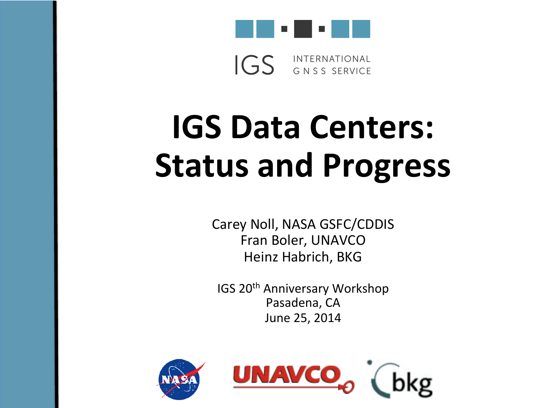

INTERNATIONAL  $IGS$ GNSS SERVICE

# **IGS Data Centers: Status and Progress**

Carey Noll, NASA GSFC/CDDIS Fran Boler, UNAVCO Heinz Habrich, BKG

IGS 20<sup>th</sup> Anniversary Workshop Pasadena, CA June 25, 2014

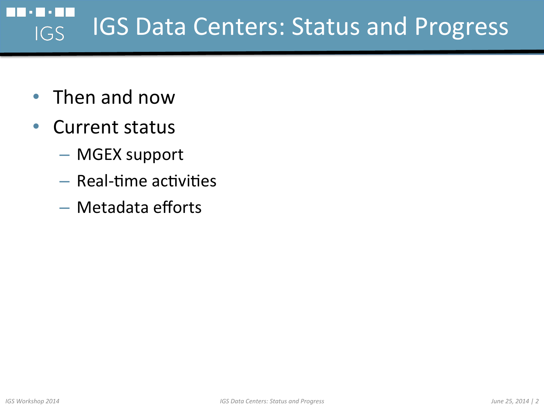#### IGS Data Centers: Status and Progress IGS

- Then and now
- Current status
	- MGEX support
	- $-$  Real-time activities
	- $-$  Metadata efforts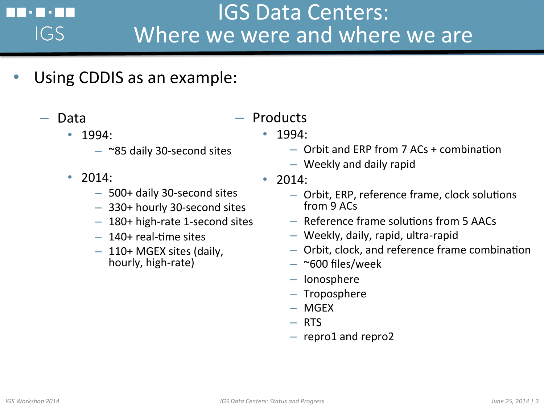#### IGS Data Centers: a kara Where we were and where we are IGS

- Using CDDIS as an example:
	- Data
		- 1994:
			- $-$  ~85 daily 30-second sites
		- 2014:
			- 500+ daily 30-second sites
			- 330+ hourly 30-second sites
			- $-180+$  high-rate 1-second sites
			- $-140+$  real-time sites
			- $-110+$  MGEX sites (daily, hourly, high-rate)
- Products
	- 1994:
		- $-$  Orbit and ERP from 7 ACs + combination
		- $-$  Weekly and daily rapid
	- 2014:
		- Orbit, ERP, reference frame, clock solutions from 9 ACs
		- $-$  Reference frame solutions from 5 AACs
		- $-$  Weekly, daily, rapid, ultra-rapid
		- $-$  Orbit, clock, and reference frame combination
		- $-$  ~600 files/week
		- Ionosphere
		- Troposphere
		- MGEX
		- RTS
		- $-$  repro1 and repro2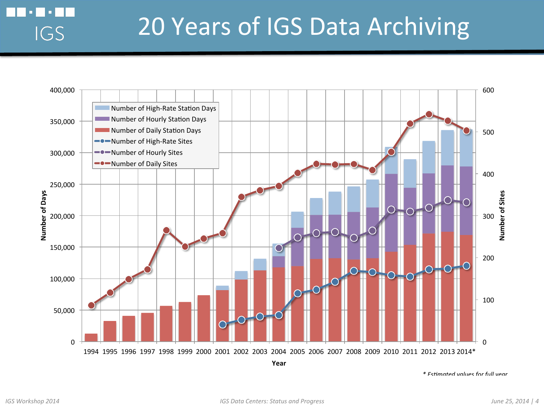

*\* EsBmated values for full year* 

a kat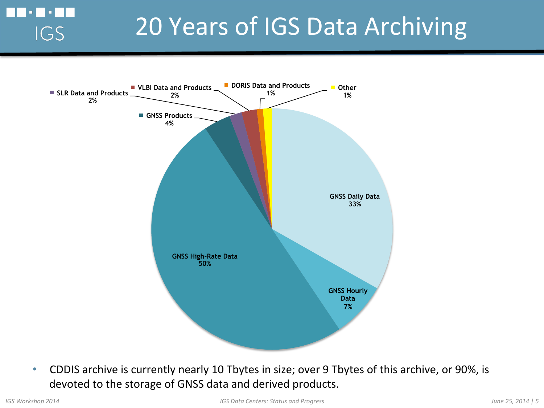#### 20 Years of IGS Data Archiving



• CDDIS archive is currently nearly 10 Tbytes in size; over 9 Tbytes of this archive, or 90%, is devoted to the storage of GNSS data and derived products.

 $\Box$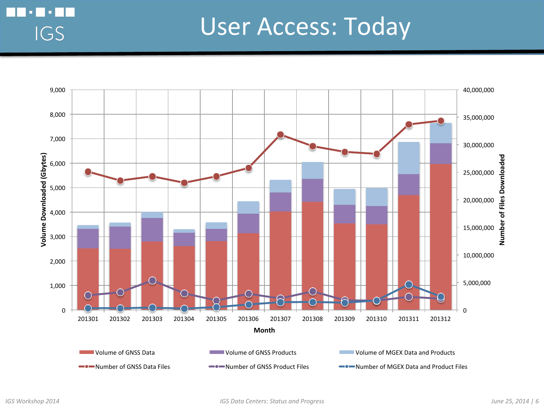#### User Access: Today



o Filo F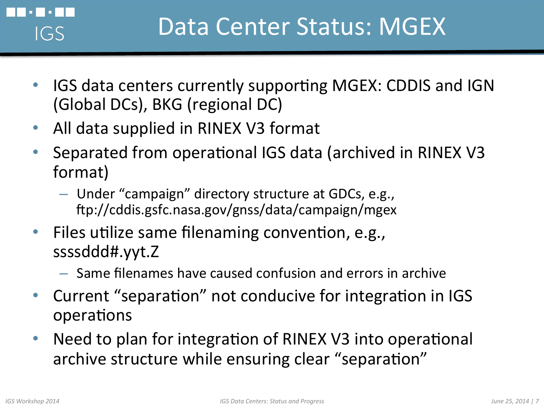- IGS data centers currently supporting MGEX: CDDIS and IGN (Global DCs), BKG (regional DC)
- All data supplied in RINEX V3 format
- Separated from operational IGS data (archived in RINEX V3 format)
	- $-$  Under "campaign" directory structure at GDCs, e.g., lp://cddis.gsfc.nasa.gov/gnss/data/campaign/mgex
- Files utilize same filenaming convention, e.g., ssssddd#.yyt.Z
	- $-$  Same filenames have caused confusion and errors in archive
- Current "separation" not conducive for integration in IGS operations
- Need to plan for integration of RINEX V3 into operational archive structure while ensuring clear "separation"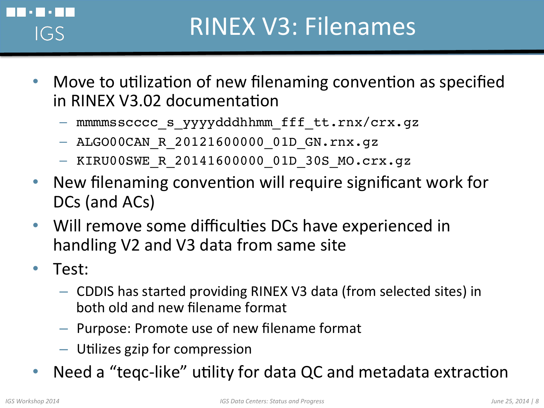

#### **RINEX V3: Filenames**

- Move to utilization of new filenaming convention as specified in RINEX V3.02 documentation
	- mmmmsscccc\_s\_yyyydddhhmm\_fff\_tt.rnx/crx.gz
	- ALGO00CAN\_R\_20121600000\_01D\_GN.rnx.gz
	- KIRU00SWE\_R\_20141600000\_01D\_30S\_MO.crx.gz
- New filenaming convention will require significant work for DCs (and ACs)
- Will remove some difficulties DCs have experienced in handling V2 and V3 data from same site
- Test:
	- $-$  CDDIS has started providing RINEX V3 data (from selected sites) in both old and new filename format
	- $-$  Purpose: Promote use of new filename format
	- $-$  Utilizes gzip for compression
- Need a "teqc-like" utility for data QC and metadata extraction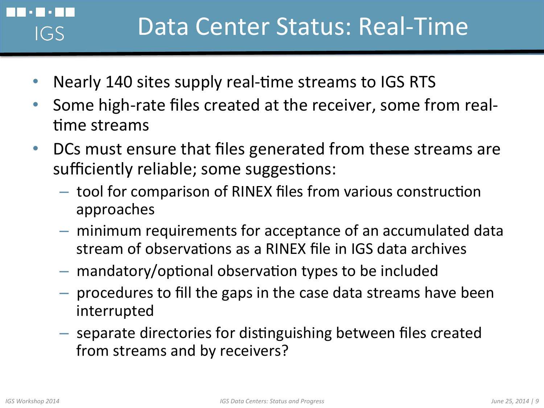### Data Center Status: Real-Time

- Nearly 140 sites supply real-time streams to IGS RTS
- Some high-rate files created at the receiver, some from realtime streams
- DCs must ensure that files generated from these streams are sufficiently reliable; some suggestions:
	- $-$  tool for comparison of RINEX files from various construction approaches
	- $-$  minimum requirements for acceptance of an accumulated data stream of observations as a RINEX file in IGS data archives
	- $-$  mandatory/optional observation types to be included
	- $-$  procedures to fill the gaps in the case data streams have been interrupted
	- $-$  separate directories for distinguishing between files created from streams and by receivers?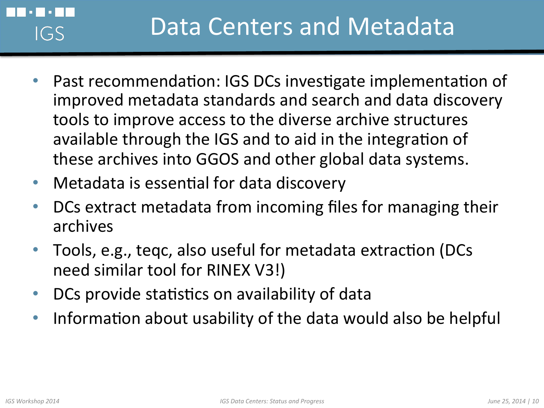#### Data Centers and Metadata IGS

- Past recommendation: IGS DCs investigate implementation of improved metadata standards and search and data discovery tools to improve access to the diverse archive structures available through the IGS and to aid in the integration of these archives into GGOS and other global data systems.
- Metadata is essential for data discovery
- DCs extract metadata from incoming files for managing their archives
- Tools, e.g., teqc, also useful for metadata extraction (DCs need similar tool for RINEX V3!)
- DCs provide statistics on availability of data
- Information about usability of the data would also be helpful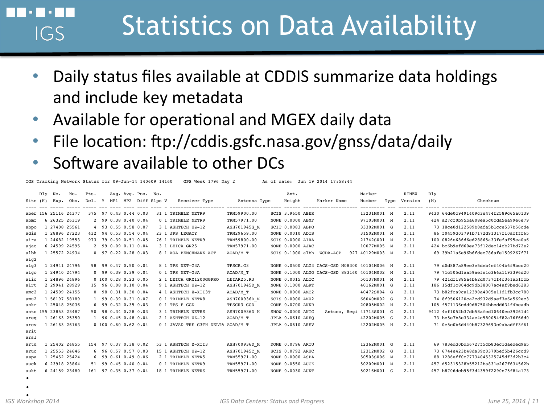## Statistics on Data Availability

- Daily status files available at CDDIS summarize data holdings and include key metadata
- Available for operational and MGEX daily data
- File location: ftp://cddis.gsfc.nasa.gov/gnss/data/daily
- Software available to other DCs

IGS Tracking Network Status for 09-Jun-14 140609 14160 GPS Week 1796 Day 2 As of date: Jun 19 2014 17:58:44

|               | Dly | No.                  | No.  | Pts. |                        |  | Avg. Avg. Pos. No.  |                                   |              | Ant.                    |                                              | Marker                   |      | <b>RINEX</b> | Dly |                                       |
|---------------|-----|----------------------|------|------|------------------------|--|---------------------|-----------------------------------|--------------|-------------------------|----------------------------------------------|--------------------------|------|--------------|-----|---------------------------------------|
| Site (H)      |     | Exp.                 | Obs. | Del. | -8                     |  | MP1 MP2 Diff Slps V | Receiver Type                     | Antenna Type | Height                  | Marker Name                                  | Number                   | Type | Version      | (M) | Checksum                              |
|               |     | aber 156 25116 24377 |      | 375  | 97 0.43 0.44 0.03      |  |                     | 31 1 TRIMBLE NETR9                | TRM59900.00  | <b>SCIS 3.9650 ABER</b> |                                              | 13231M001 M              |      | 2.11         |     | 9430 64de0c9491409c3e474f2589c65a0139 |
| abmf          |     | 6 26325 26319        |      |      | 2 99 0.38 0.40 0.04    |  |                     | 0 1 TRIMBLE NETR9                 | TRM57971.00  | NONE 0.0000 ABMF        |                                              | 97103M001 M              |      | 2.11         |     | 424 a27cf0b95ba608ea5c0cda5ea99e6e79  |
| abpo          |     | 1 27408 25561        |      |      | 4 93 0.55 0.58 0.07    |  |                     | 3 1 ASHTECH UZ-12                 | ASH701945G M | SCIT 0.0083 ABPO        |                                              | 33302M001 G              |      | 2.11         |     | 73 18ce0d122589b0afa5b1cce537b56cde   |
| adis          |     | 28896 27223          |      |      | 432 94 0.53 0.54 0.04  |  |                     | 23 1 JPS LEGACY                   | TRM29659.00  | NONE 0.0010 ADIS        |                                              | 31502M001 M              |      | 2.11         |     | 86 f0459d03791b7172d91317f10acfff65   |
| aira          |     | 1 24682 19553        |      |      | 973 79 0.39 0.51 0.05  |  |                     | 76 1 TRIMBLE NETR9                | TRM59800.00  | SCIS 0.0000 AIRA        |                                              | 21742S001 M              |      | 2.11         |     | 100 0826e686d6ed28865a33fefaf95ea0a6  |
| ајас          |     | 6 24599 24595        |      |      | 2 99 0.09 0.11 0.04    |  |                     | 3 1 LEICA GR25                    | TRM57971.00  | NONE 0.0000 AJAC        |                                              | 10077M005 M              |      | 2.11         |     | 424 bc6b9efd60ea73f12dec14cb27bd72e2  |
| albh          |     | 1 25572 24934        |      |      | $0$ 97 0.22 0.28 0.03  |  |                     | 8 1 AOA BENCHMARK ACT             | AOAD/M T     |                         | SCIS 0.1000 albh WCDA-ACP                    | 927 40129M003 M          |      | 2.11         |     | 69 39b21a6e96b6fdec786afe1509267f71   |
| alq2          |     |                      |      |      |                        |  |                     |                                   |              |                         |                                              |                          |      |              |     |                                       |
| a1q3          |     | 1 24941 24796        |      |      | 98 99 0.47 0.50 0.04   |  |                     | 8 1 TPS NET-G3A                   | TPSCR.G3     |                         | NONE 0.0500 ALG3 CACS-GSD M08300 40104M006 M |                          |      | 2.11         |     | 79 d0d887a89ee3e5deb4ef404b6f9bcc20   |
| algo          |     | 24940 24794          |      |      | $0$ 99 0.39 0.39 0.04  |  |                     | 0 1 TPS NET-G3A                   | AOAD/M T     |                         | NONE 0.1000 ALGO CACS-GSD 883160 40104M002 M |                          |      | 2.11         |     | 79 71c505d1aa59aefe1c366a1193396d20   |
| alic          |     | 1 24896 24896        |      |      | $0$ 100 0.28 0.23 0.05 |  |                     | 2 1 LEICA GRX1200GGPRO            | LEIAR25.R3   | NONE 0.0015 ALIC        |                                              | 50137M001 M              |      | 2.11         |     | 79 421df1885a4b62d0737cf4c361ab1fcb   |
| alrt          |     | 2 29941 28929        |      |      | 15 96 0.08 0.10 0.04   |  |                     | 9 1 ASHTECH UZ-12                 | ASH701945D M | NONE 0.1000 ALRT        |                                              | 40162M001 G              |      | 2.11         |     | 186 15df1c804dc9db38007ac4af9bed6283  |
| $\text{amc2}$ |     | 1 24509 24155        |      |      | $0$ 98 0.31 0.30 0.04  |  |                     | 4 1 ASHTECH Z-XII3T               | AOAD/M T     | NONE 0.0000 AMC2        |                                              | 40472S004 G              |      | 2.11         |     | 73 b82fca9ca12390a4005e11d1fb3cc780   |
| amu2          |     | 1 58197 58189        |      |      | 1 99 0.39 0.31 0.07    |  |                     | 0 1 TRIMBLE NETR8                 | ASH700936D M | SCIS 0.0000 AMU2        |                                              | 66040M002 G              |      | 2.11         |     | 74 8f9506120ca2cd932d9aef3e6a569ec3   |
| ankr          |     | 25048 25036          |      |      | 6 99 0.32 0.35 0.03    |  |                     | 0 1 TPS E GGD                     | TPSCR3 GGD   | CONE 0.0700 ANKR        |                                              | 20805M002 M              |      | 2.11         |     | 105 f571136cdd0d87504bbcdd634f4beadb  |
|               |     | antc 155 23853 23487 |      |      | 50 98 0.34 0.28 0.03   |  |                     | 3 1 TRIMBLE NETRS                 | ASH700936D M | SNOW 0.0000 ANTC        |                                              | Antuco, Regi 41713S001 G |      | 2.11         |     | 9412 4cf1052b37db58afcd10640ec39261d4 |
| areq          |     | 26163 25350          |      |      | 1 96 0.45 0.48 0.04    |  |                     | 2 1 ASHTECH UZ-12                 | AOAD/M T     | JPLA 0.0610 AREQ        |                                              | 42202M005 G              |      | 2.11         |     | 73 be5e7b8e334ae4c580054f82a76f66d0   |
| arev          |     | 26163 26163          |      |      | $0$ 100 0.60 0.62 0.04 |  |                     | 0 1 JAVAD TRE G3TH DELTA AOAD/M T |              | JPLA 0.0610 AREV        |                                              | 42202M005 M              |      | 2.11         |     | 71 0e5e0b6d440b87329693c0abadff3f61   |
| arit          |     |                      |      |      |                        |  |                     |                                   |              |                         |                                              |                          |      |              |     |                                       |
| arsl          |     |                      |      |      |                        |  |                     |                                   |              |                         |                                              |                          |      |              |     |                                       |
| artu          |     | 25402 24855          |      |      | 154 97 0.37 0.38 0.02  |  |                     | 53 1 ASHTECH Z-XII3               | ASH700936D M | DOME 0.0796 ARTU        |                                              | 12362M001 G              |      | 2.11         |     | 69 783edd0bdb6727f5cb83ec1daeded9e5   |
| aruc          |     | 25553 24646          |      |      | $6$ 96 0.57 0.57 0.03  |  |                     | 15 1 ASHTECH UZ-12                | ASH701945C M | SCIS 0.0792 ARUC        |                                              | 12312M002 G              |      | 2.11         |     | 73 6744e423b48da39c0379bef5b426ccd9   |
| aspa          |     | 1 25452 25424        |      |      | $6$ 99 0.61 0.49 0.06  |  |                     | 2 1 TRIMBLE NETR5                 | TRM55971.00  | NONE 0.0000 ASPA        |                                              | 50503S006 M              |      | 2.11         |     | 88 1286eff0c77734045325745df3d2b3c4   |
| auck          |     | 6 23918 23864        |      |      | 51 99 0.45 0.40 0.04   |  |                     | 0 1 TRIMBLE NETR9                 | TRM55971.00  | NONE 0.0550 AUCK        |                                              | 50209M001 M              |      | 2.11         |     | 457 d52315328b55212ba831e267f634562b  |
| aukt          |     | 6 24159 23480        |      |      | 161 97 0.35 0.37 0.04  |  |                     | 18 1 TRIMBLE NETRS                | TRM55971.00  | NONE 0.0030 AUKT        |                                              | 50216M001 G              |      | 2.11         |     | 457 b8706dcb95f3d4359f2290c75f84a173  |
| $\bullet$     |     |                      |      |      |                        |  |                     |                                   |              |                         |                                              |                          |      |              |     |                                       |

•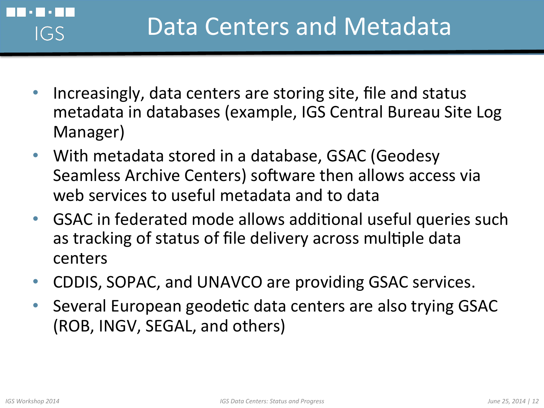

- Increasingly, data centers are storing site, file and status metadata in databases (example, IGS Central Bureau Site Log Manager)
- With metadata stored in a database, GSAC (Geodesy Seamless Archive Centers) software then allows access via web services to useful metadata and to data
- GSAC in federated mode allows additional useful queries such as tracking of status of file delivery across multiple data centers
- CDDIS, SOPAC, and UNAVCO are providing GSAC services.
- Several European geodetic data centers are also trying GSAC (ROB, INGV, SEGAL, and others)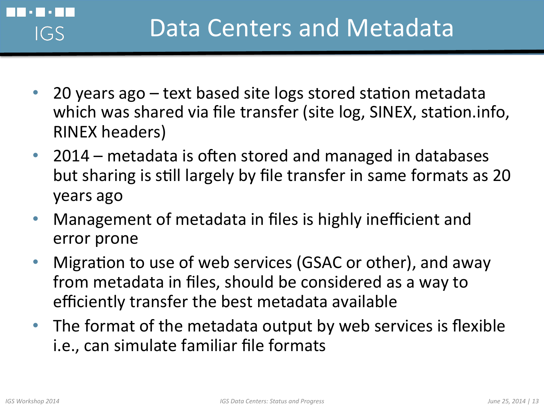

- 20 years  $ago text$  based site logs stored station metadata which was shared via file transfer (site log, SINEX, station.info, RINEX headers)
- 2014 metadata is often stored and managed in databases but sharing is still largely by file transfer in same formats as 20 years ago
- Management of metadata in files is highly inefficient and error prone
- Migration to use of web services (GSAC or other), and away from metadata in files, should be considered as a way to efficiently transfer the best metadata available
- The format of the metadata output by web services is flexible i.e., can simulate familiar file formats